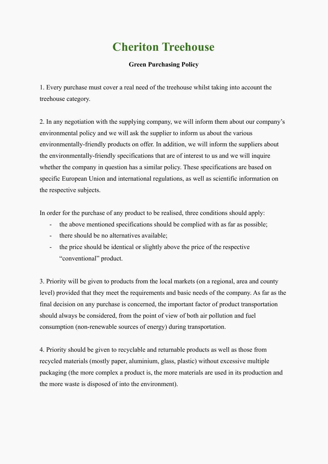## **Cheriton Treehouse**

## **Green Purchasing Policy**

1. Every purchase must cover a real need of the treehouse whilst taking into account the treehouse category.

2. In any negotiation with the supplying company, we will inform them about our company's environmental policy and we will ask the supplier to inform us about the various environmentally-friendly products on offer. In addition, we will inform the suppliers about the environmentally-friendly specifications that are of interest to us and we will inquire whether the company in question has a similar policy. These specifications are based on specific European Union and international regulations, as well as scientific information on the respective subjects.

In order for the purchase of any product to be realised, three conditions should apply:

- the above mentioned specifications should be complied with as far as possible;
- there should be no alternatives available;
- the price should be identical or slightly above the price of the respective "conventional" product.

3. Priority will be given to products from the local markets (on a regional, area and county level) provided that they meet the requirements and basic needs of the company. As far as the final decision on any purchase is concerned, the important factor of product transportation should always be considered, from the point of view of both air pollution and fuel consumption (non-renewable sources of energy) during transportation.

4. Priority should be given to recyclable and returnable products as well as those from recycled materials (mostly paper, aluminium, glass, plastic) without excessive multiple packaging (the more complex a product is, the more materials are used in its production and the more waste is disposed of into the environment).